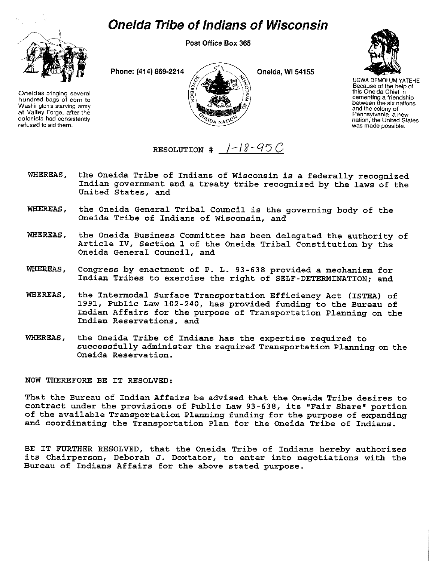## *Oneida Tribe of Indians of Wisconsin*



Oneidas bringing several hundred bags of corn to Washington's starving army at Valley Forge, after the colonists had consistently refused to aid them.

Post Office Box 365

Phone: (414) 869-2214  $\angle$  4 0neida, Wi 54155



UGWA DEMOLUM YATEHE Because of the help of this Oneida Chief in cementing a friendship between the six nations and the colony of Pennsylvania, a new nation, the United States was made possible.

RESOLUTION  $\#$  /-18-95 C

- WHEREAS, the Oneida Tribe of Indians of Wisconsin is a federally recognized Indian government and a treaty tribe recognized by the laws of the United States, and
- WHEREAS, the Oneida General Tribal Council is the governing body of the Oneida Tribe of Indians of Wisconsin, and
- WHEREAS, the Oneida Business Committee has been delegated the authority of Article IV, Section 1 of the Oneida Tribal Constitution by the Oneida General Council, and
- WHEREAS, Congress by enactment of P. L. 93-638 provided a mechanism for Indian Tribes to exercise the right of SELF-DETERMINATION; and
- WHEREAS, the Intermodal Surface Transportation Efficiency Act (ISTEA) of 1991, Public Law 102-240, has provided funding to the Bureau of Indian Affairs for the purpose of Transportation Planning on the Indian Reservations, and
- WHEREAS, the Oneida Tribe of Indians has the expertise required to successfully administer the required Transportation Planning on the Oneida Reservation.

NOW THEREFORE BE IT RESOLVED:

That the Bureau of Indian Affairs be advised that the Oneida Tribe desires to contract under the provisions of Public Law 93-638, its "Fair Share" portion of the available Transportation Planning funding for the purpose of expanding and coordinating the Transportation Plan for the Oneida Tribe of Indians.

BE IT FURTHER RESOLVED, that the Oneida Tribe of Indians hereby authorizes its Chairperson, Deborah J. Doxtator, to enter into negotiations with the Bureau of Indians Affairs for the above stated purpose.